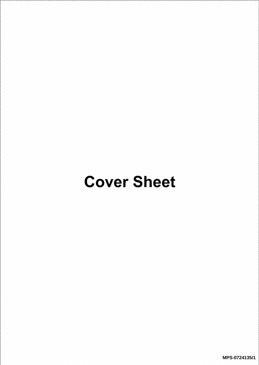## Cover Sheet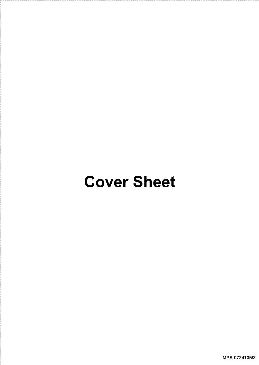## Cover Sheet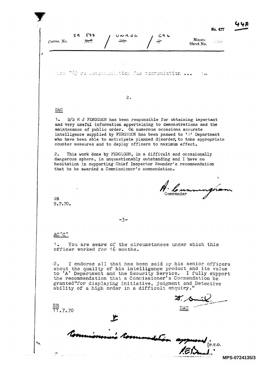| 55<br>588<br>Corres. No.                                                                                                                                                                                                                                                                                                                                                                                                | いんこん | 694 | Minute<br>Sheet No. |  |
|-------------------------------------------------------------------------------------------------------------------------------------------------------------------------------------------------------------------------------------------------------------------------------------------------------------------------------------------------------------------------------------------------------------------------|------|-----|---------------------|--|
|                                                                                                                                                                                                                                                                                                                                                                                                                         |      |     |                     |  |
|                                                                                                                                                                                                                                                                                                                                                                                                                         |      |     |                     |  |
| ara 759 rs recommention for commendation                                                                                                                                                                                                                                                                                                                                                                                |      |     | 7.21                |  |
|                                                                                                                                                                                                                                                                                                                                                                                                                         |      |     |                     |  |
|                                                                                                                                                                                                                                                                                                                                                                                                                         |      |     |                     |  |
|                                                                                                                                                                                                                                                                                                                                                                                                                         | 2.   |     |                     |  |
| DAC                                                                                                                                                                                                                                                                                                                                                                                                                     |      |     |                     |  |
| 1.<br>D/S M J FERGUSON has been responsible for obtaining important<br>and very useful information appertaining to demonstrations and the<br>maintenance of public order. On numerous occasions accurate<br>intelligence supplied by FERGUSON has been passed to 'A' Department<br>who have been able to anticipate planned disorder, to take appropriate<br>counter measures and to deploy officers to maximum effect. |      |     |                     |  |
| 2.<br>This work done by FERGUSON, in a difficult and occasionally<br>dangerous sphere, is unquestionably outstanding and I have no<br>hesitation in supporting Chief Inspector Saunder's recommendation<br>that he be awarded a Commissioner's commendation.                                                                                                                                                            |      |     |                     |  |
|                                                                                                                                                                                                                                                                                                                                                                                                                         |      |     |                     |  |
|                                                                                                                                                                                                                                                                                                                                                                                                                         |      |     |                     |  |
| SB<br>9.7.70.                                                                                                                                                                                                                                                                                                                                                                                                           |      |     |                     |  |
|                                                                                                                                                                                                                                                                                                                                                                                                                         |      |     |                     |  |
|                                                                                                                                                                                                                                                                                                                                                                                                                         | -3-  |     |                     |  |
| AC'C'                                                                                                                                                                                                                                                                                                                                                                                                                   |      |     |                     |  |
| 1. You are aware of the circumstances under which this<br>officer worked for 16 months.                                                                                                                                                                                                                                                                                                                                 |      |     |                     |  |
| I endorse all that has been said by his senior officers<br>$-2$ .<br>about the quality of his intelligence product and its value<br>to 'A' Department and the Security Service. I fully support<br>the recommendation that a Commissioner's Commendation be<br>granted"for displaying initiative, judgment and Detective<br>ability of a high order in a difficult enquiry."                                            |      |     |                     |  |
|                                                                                                                                                                                                                                                                                                                                                                                                                         |      |     |                     |  |
| $\frac{SB}{11}$ , 7, 70                                                                                                                                                                                                                                                                                                                                                                                                 |      |     |                     |  |
|                                                                                                                                                                                                                                                                                                                                                                                                                         |      |     |                     |  |
|                                                                                                                                                                                                                                                                                                                                                                                                                         |      |     |                     |  |

**MPS-0724135/3**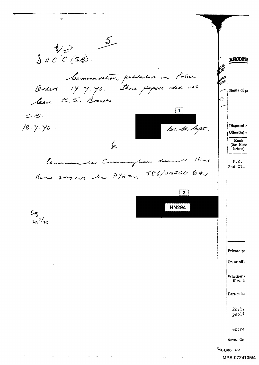$\frac{5}{2}$  $\sqrt[4]{20}$  $\lambda$  ACC(SB). **RECOMM PALL** Commentation published in Police **CICE** Boders 14.4.70. There papers due not Name of p leave C. S. Branch. . 79  $\boxed{1}$  $C.S.$ Dec. Ch. Supe. Disposed o  $18.4.40$ . Officer(s) c Rank  $\overline{\mathcal{L}}$ (See Note below)  $k_{up}$ Commenter Co duceti mungham  $P.S.$  $2nd$   $C1.$ There payers by PTACK 588/UNR64 684  $\overline{2}$ **HN294** 巧  $\frac{1}{20}$ /<sub>70</sub> Private pe On or off Whether . if so, n Particular  $22.6.$ publi extre Nore.-In  $\frac{1}{4}$ 1/4,500 B83  $\omega_{\rm{eff}}=2.0\pm0.01$  $\sim 10^{-1}$ MPS-0724135/4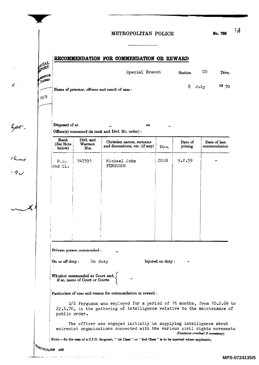## METROPOLITAN POLICE

No. 769

4

## RECOMMENDATION FOR COMMENDATION OR REWARD

|                                           | ARSOCHIMAARDA LICH TOIN COMMANDATION ON INSTITUTION |         |          |       |  |  |  |  |
|-------------------------------------------|-----------------------------------------------------|---------|----------|-------|--|--|--|--|
| ECIAL<br>CORT<br>PAPERS <sub>PAPERS</sub> | Special Branch                                      | Station | CO       | Divn. |  |  |  |  |
|                                           | Name of prisoner, offence and result of case :      |         | $8$ July | 1970  |  |  |  |  |
| $.70^{0}$                                 |                                                     |         |          |       |  |  |  |  |

Disposed of at  $\qquad \qquad \blacksquare$  On Officer(s) concerned (in rank and Divl. No. order) :

| Rank<br>(See Note<br>below) | Divl. and<br>Warrant<br>NOB. | Christian names, surname<br>and decorations, etc. (if any) | Divn. | Date of<br>joining | Date of last<br>commendation |
|-----------------------------|------------------------------|------------------------------------------------------------|-------|--------------------|------------------------------|
| P.S.<br>2nd Cl.             | 147391                       | Michael John<br>FERGUSON                                   | COSB  | 9.2.59             |                              |
|                             |                              |                                                            |       |                    |                              |
|                             |                              |                                                            |       |                    |                              |
|                             | Private person commended :   |                                                            |       |                    |                              |

Whether commended at Court and,  $\int$ if so, name of Court or Courts

Particulars of case and reason for commendation or reward:

D/S Ferguson was employed for a period of 16 months, from 10.2.69 to 22.6.70, in the gathering of intelligence relative to the maintenance of public order.

The officer was engaged initially in supplying intelligence about extremist organisations connected with the various civil rights movements (Continue overleaf if neoeesary)

NOTE.-In the case of a C.I.D. Sergeant, "lst Class" or "2nd Class" is to be inserted where applicable.

.<br>Se

 $\mathcal L^1$ 

hpt .

theas<br>El

χ.